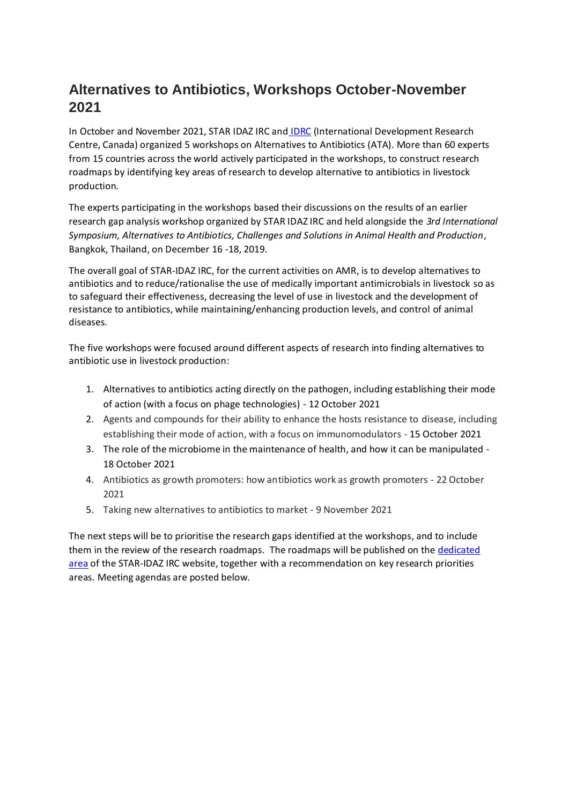# **Alternatives to Antibiotics, Workshops October-November 2021**

In October and November 2021, STAR IDAZ IRC and [IDRC](https://www.idrc.ca/en) (International Development Research Centre, Canada) organized 5 workshops on Alternatives to Antibiotics (ATA). More than 60 experts from 15 countries across the world actively participated in the workshops, to construct research roadmaps by identifying key areas of research to develop alternative to antibiotics in livestock production.

The experts participating in the workshops based their discussions on the results of an earlier research gap analysis workshop organized by STAR IDAZ IRC and held alongside the *3rd International Symposium, Alternatives to Antibiotics, Challenges and Solutions in Animal Health and Production*, Bangkok, Thailand, on December 16 -18, 2019.

The overall goal of STAR-IDAZ IRC, for the current activities on AMR, is to develop alternatives to antibiotics and to reduce/rationalise the use of medically important antimicrobials in livestock so as to safeguard their effectiveness, decreasing the level of use in livestock and the development of resistance to antibiotics, while maintaining/enhancing production levels, and control of animal diseases.

The five workshops were focused around different aspects of research into finding alternatives to antibiotic use in livestock production:

- 1. Alternatives to antibiotics acting directly on the pathogen, including establishing their mode of action (with a focus on phage technologies) - 12 October 2021
- 2. Agents and compounds for their ability to enhance the hosts resistance to disease, including establishing their mode of action, with a focus on immunomodulators - 15 October 2021
- 3. The role of the microbiome in the maintenance of health, and how it can be manipulated 18 October 2021
- 4. Antibiotics as growth promoters: how antibiotics work as growth promoters 22 October 2021
- 5. Taking new alternatives to antibiotics to market 9 November 2021

The next steps will be to prioritise the research gaps identified at the workshops, and to include them in the review of the research roadmaps. The roadmaps will be published on th[e dedicated](https://roadmaps-public.star-idaz.net/#/home)  [area](https://roadmaps-public.star-idaz.net/#/home) of the STAR-IDAZ IRC website, together with a recommendation on key research priorities areas. Meeting agendas are posted below.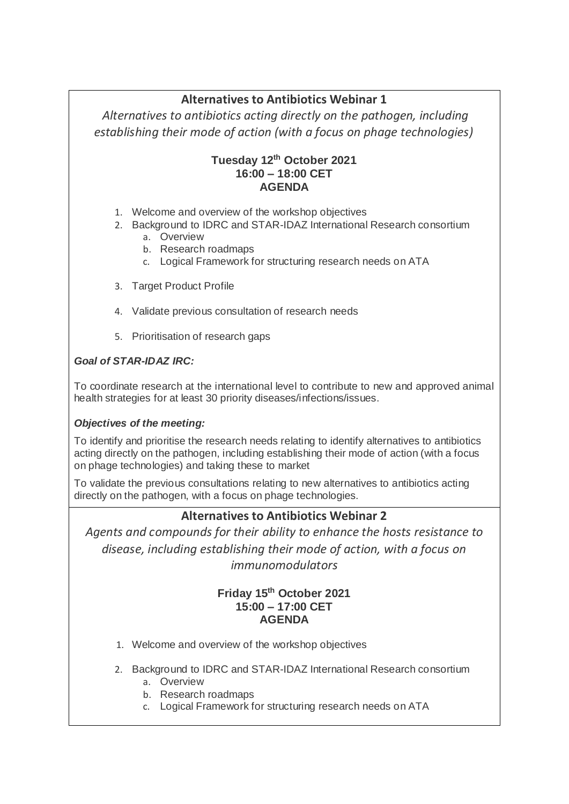# **Alternatives to Antibiotics Webinar 1**

*Alternatives to antibiotics acting directly on the pathogen, including establishing their mode of action (with a focus on phage technologies)*

### **Tuesday 12th October 2021 16:00 – 18:00 CET AGENDA**

- 1. Welcome and overview of the workshop objectives
- 2. Background to IDRC and STAR-IDAZ International Research consortium
	- a. Overview
	- b. Research roadmaps
	- c. Logical Framework for structuring research needs on ATA
- 3. Target Product Profile
- 4. Validate previous consultation of research needs
- 5. Prioritisation of research gaps

# *Goal of STAR-IDAZ IRC:*

To coordinate research at the international level to contribute to new and approved animal health strategies for at least 30 priority diseases/infections/issues.

# *Objectives of the meeting:*

To identify and prioritise the research needs relating to identify alternatives to antibiotics acting directly on the pathogen, including establishing their mode of action (with a focus on phage technologies) and taking these to market

To validate the previous consultations relating to new alternatives to antibiotics acting directly on the pathogen, with a focus on phage technologies.

# **Alternatives to Antibiotics Webinar 2**

*Agents and compounds for their ability to enhance the hosts resistance to disease, including establishing their mode of action, with a focus on immunomodulators*

#### **Friday 15th October 2021 15:00 – 17:00 CET AGENDA**

- 1. Welcome and overview of the workshop objectives
- 2. Background to IDRC and STAR-IDAZ International Research consortium
	- a. Overview
		- b. Research roadmaps
		- c. Logical Framework for structuring research needs on ATA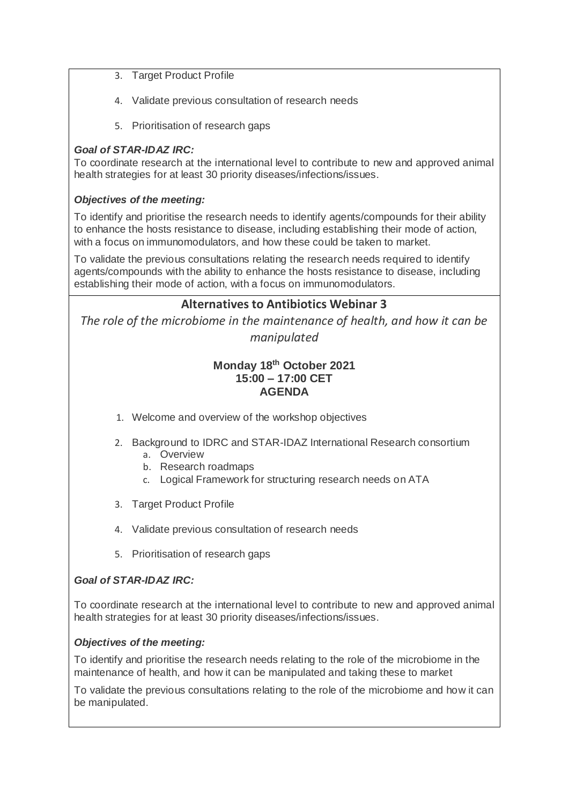- 3. Target Product Profile
- 4. Validate previous consultation of research needs
- 5. Prioritisation of research gaps

#### *Goal of STAR-IDAZ IRC:*

To coordinate research at the international level to contribute to new and approved animal health strategies for at least 30 priority diseases/infections/issues.

#### *Objectives of the meeting:*

To identify and prioritise the research needs to identify agents/compounds for their ability to enhance the hosts resistance to disease, including establishing their mode of action, with a focus on immunomodulators, and how these could be taken to market.

To validate the previous consultations relating the research needs required to identify agents/compounds with the ability to enhance the hosts resistance to disease, including establishing their mode of action, with a focus on immunomodulators.

# **Alternatives to Antibiotics Webinar 3**

*The role of the microbiome in the maintenance of health, and how it can be manipulated*

#### **Monday 18th October 2021 15:00 – 17:00 CET AGENDA**

- 1. Welcome and overview of the workshop objectives
- 2. Background to IDRC and STAR-IDAZ International Research consortium
	- a. Overview
	- b. Research roadmaps
	- c. Logical Framework for structuring research needs on ATA
- 3. Target Product Profile
- 4. Validate previous consultation of research needs
- 5. Prioritisation of research gaps

#### *Goal of STAR-IDAZ IRC:*

To coordinate research at the international level to contribute to new and approved animal health strategies for at least 30 priority diseases/infections/issues.

#### *Objectives of the meeting:*

To identify and prioritise the research needs relating to the role of the microbiome in the maintenance of health, and how it can be manipulated and taking these to market

To validate the previous consultations relating to the role of the microbiome and how it can be manipulated.